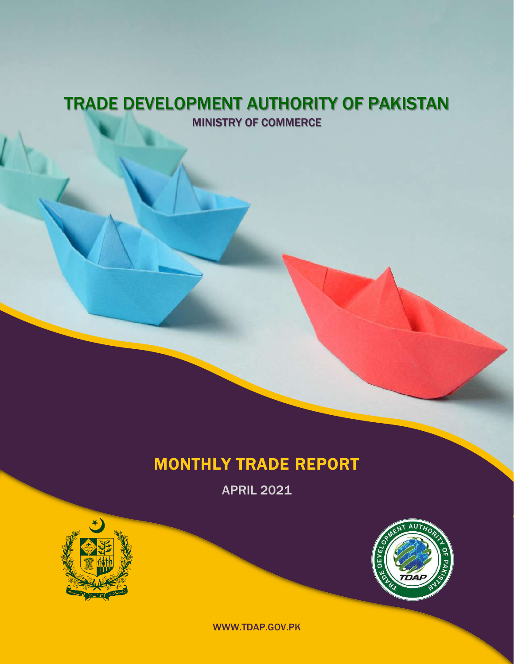### TRADE DEVELOPMENT AUTHORITY OF PAKISTAN MINISTRY OF COMMERCE

## MONTHLY TRADE REPORT

APRIL 2021





WWW.TDAP.GOV.PK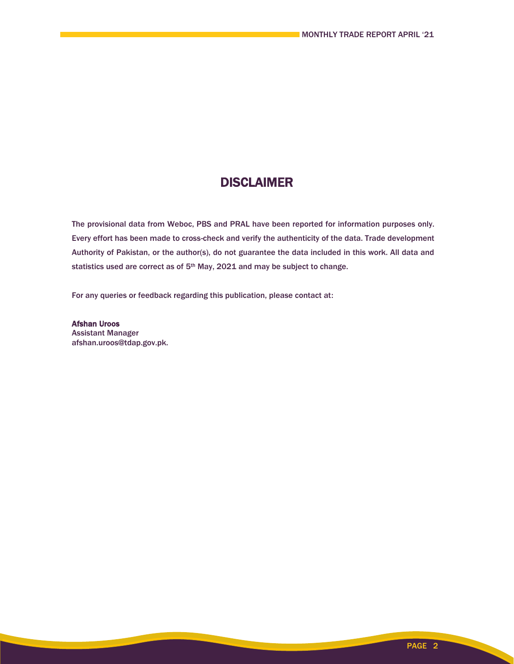### **DISCLAIMER**

The provisional data from Weboc, PBS and PRAL have been reported for information purposes only. Every effort has been made to cross-check and verify the authenticity of the data. Trade development Authority of Pakistan, or the author(s), do not guarantee the data included in this work. All data and statistics used are correct as of 5<sup>th</sup> May, 2021 and may be subject to change.

For any queries or feedback regarding this publication, please contact at:

Afshan Uroos Assistant Manager afshan.uroos@tdap.gov.pk.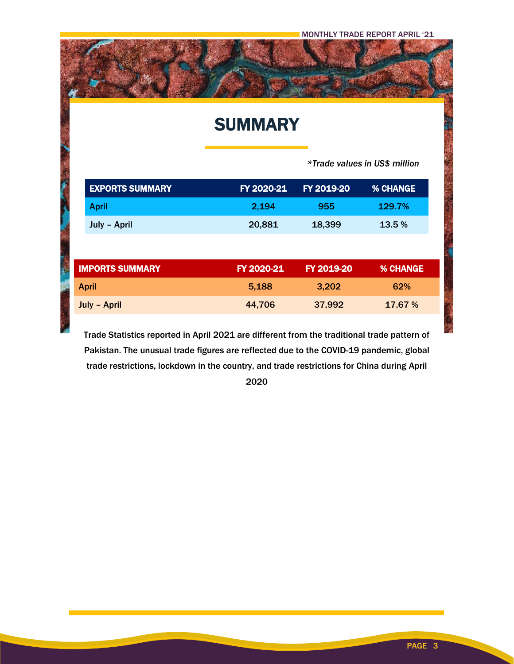## **SUMMARY**

 *\*Trade values in US\$ million*

| FY 2020-21             | FY 2019-20 | <b>% CHANGE</b> |
|------------------------|------------|-----------------|
| 2,194                  | 955        | 129.7%          |
| 20,881<br>July - April |            | 13.5 %          |
|                        |            |                 |
| FY 2020-21             | FY 2019-20 | <b>% CHANGE</b> |
| 5,188                  | 3,202      | 62%             |
| 44,706                 | 37,992     | 17.67 %         |
|                        |            | 18,399          |

Trade Statistics reported in April 2021 are different from the traditional trade pattern of Pakistan. The unusual trade figures are reflected due to the COVID-19 pandemic, global trade restrictions, lockdown in the country, and trade restrictions for China during April

2020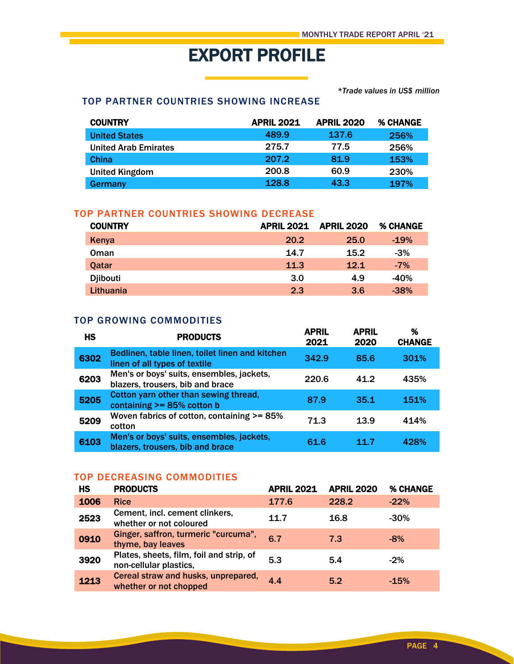# EXPORT PROFILE

*\*Trade values in US\$ million*

#### TOP PARTNER COUNTRIES SHOWING INCREASE

| <b>COUNTRY</b>              | <b>APRIL 2021</b> | <b>APRIL 2020</b> | <b>% CHANGE</b> |
|-----------------------------|-------------------|-------------------|-----------------|
| <b>United States</b>        | 489.9             | 137.6             | 256%            |
| <b>United Arab Emirates</b> | 275.7             | 77.5              | 256%            |
| China                       | 207.2             | 81.9              | 153%            |
| <b>United Kingdom</b>       | 200.8             | 60.9              | 230%            |
| Germany                     | 128.8             | 43.3              | 197%            |

#### TOP PARTNER COUNTRIES SHOWING DECREASE

| <b>COUNTRY</b>  | <b>APRIL 2021</b> | <b>APRIL 2020</b> | % CHANGE |
|-----------------|-------------------|-------------------|----------|
| Kenya           | 20.2              | 25.0              | $-19%$   |
| Oman            | 14.7              | 15.2              | $-3%$    |
| Qatar           | 11.3              | 12.1              | $-7%$    |
| <b>Djibouti</b> | 3.0               | 4.9               | $-40%$   |
| Lithuania       | 2.3               | 3.6               | $-38%$   |

#### TOP GROWING COMMODITIES

| <b>HS</b> | <b>PRODUCTS</b>                                                                  | <b>APRIL</b><br>2021 | <b>APRIL</b><br>2020 | %<br><b>CHANGE</b> |
|-----------|----------------------------------------------------------------------------------|----------------------|----------------------|--------------------|
| 6302      | Bedlinen, table linen, toilet linen and kitchen<br>linen of all types of textile | 342.9                | 85.6                 | 301%               |
| 6203      | Men's or boys' suits, ensembles, jackets,<br>blazers, trousers, bib and brace    | 220.6                | 41.2                 | 435%               |
| 5205      | Cotton yarn other than sewing thread,<br>containing $>= 85\%$ cotton b           | 87.9                 | 35.1                 | 151%               |
| 5209      | Woven fabrics of cotton, containing >= 85%<br>cotton                             | 71.3                 | 13.9                 | 414%               |
| 6103      | Men's or boys' suits, ensembles, jackets,<br>blazers, trousers, bib and brace    | 61.6                 | 11.7                 | 428%               |

#### TOP DECREASING COMMODITIES

| HS   | <b>PRODUCTS</b>                                                    | <b>APRIL 2021</b> | <b>APRIL 2020</b> | % CHANGE |
|------|--------------------------------------------------------------------|-------------------|-------------------|----------|
| 1006 | <b>Rice</b>                                                        | 177.6             | 228.2             | $-22%$   |
| 2523 | Cement, incl. cement clinkers,<br>whether or not coloured          | 11.7              | 16.8              | $-30%$   |
| 0910 | Ginger, saffron, turmeric "curcuma",<br>thyme, bay leaves          | 6.7               | 7.3               | $-8%$    |
| 3920 | Plates, sheets, film, foil and strip, of<br>non-cellular plastics, | 5.3               | 5.4               | $-2%$    |
| 1213 | Cereal straw and husks, unprepared,<br>whether or not chopped      | 4.4               | 5.2               | $-15%$   |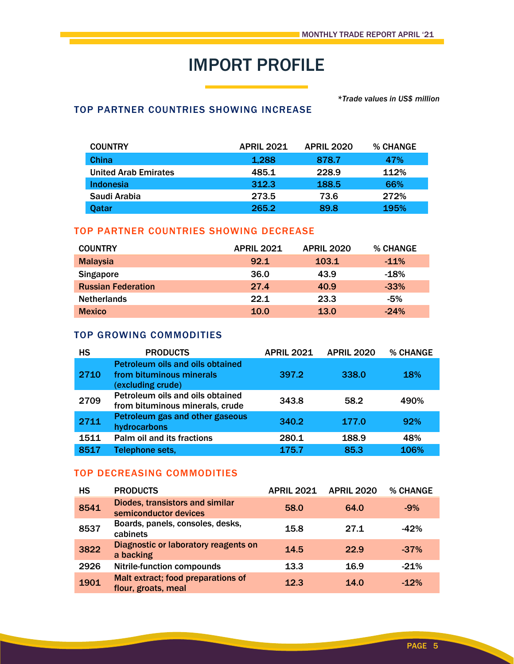# IMPORT PROFILE

#### *\*Trade values in US\$ million*

#### TOP PARTNER COUNTRIES SHOWING INCREASE

| <b>COUNTRY</b>              | <b>APRIL 2021</b> | <b>APRIL 2020</b> | <b>% CHANGE</b> |
|-----------------------------|-------------------|-------------------|-----------------|
| <b>China</b>                | 1,288             | 878.7             | 47%             |
| <b>United Arab Emirates</b> | 485.1             | 228.9             | 112%            |
| Indonesia                   | 312.3             | 188.5             | 66%             |
| Saudi Arabia                | 273.5             | 73.6              | 272%            |
| <b>Oatar</b>                | 265.2             | 89.8              | 195%            |

#### TOP PARTNER COUNTRIES SHOWING DECREASE

| <b>COUNTRY</b>            | <b>APRIL 2021</b> | <b>APRIL 2020</b> | % CHANGE |
|---------------------------|-------------------|-------------------|----------|
| <b>Malaysia</b>           | 92.1              | 103.1             | $-11\%$  |
| <b>Singapore</b>          | 36.0              | 43.9              | $-18%$   |
| <b>Russian Federation</b> | 27.4              | 40.9              | $-33%$   |
| <b>Netherlands</b>        | 22.1              | 23.3              | $-5%$    |
| <b>Mexico</b>             | 10.0              | 13.0              | $-24%$   |

#### TOP GROWING COMMODITIES

| <b>HS</b> | <b>PRODUCTS</b>                                                                          | <b>APRIL 2021</b> | <b>APRIL 2020</b> | % CHANGE   |
|-----------|------------------------------------------------------------------------------------------|-------------------|-------------------|------------|
| 2710      | <b>Petroleum oils and oils obtained</b><br>from bituminous minerals<br>(excluding crude) | 397.2             | 338.0             | <b>18%</b> |
| 2709      | Petroleum oils and oils obtained<br>from bituminous minerals, crude                      | 343.8             | 58.2              | 490%       |
| 2711      | Petroleum gas and other gaseous<br>hydrocarbons                                          | 340.2             | 177.0             | 92%        |
| 1511      | Palm oil and its fractions                                                               | 280.1             | 188.9             | 48%        |
| 8517      | Telephone sets,                                                                          | 175.7             | 85.3              | 106%       |

#### TOP DECREASING COMMODITIES

| <b>HS</b> | <b>PRODUCTS</b>                                           | <b>APRIL 2021</b> | <b>APRIL 2020</b> | % CHANGE |
|-----------|-----------------------------------------------------------|-------------------|-------------------|----------|
| 8541      | Diodes, transistors and similar<br>semiconductor devices  | 58.0              | 64.0              | $-9%$    |
| 8537      | Boards, panels, consoles, desks,<br>cabinets              | 15.8              | 27.1              | $-42%$   |
| 3822      | Diagnostic or laboratory reagents on<br>a backing         | 14.5              | 22.9              | $-37%$   |
| 2926      | <b>Nitrile-function compounds</b>                         | 13.3              | 16.9              | $-21%$   |
| 1901      | Malt extract; food preparations of<br>flour, groats, meal | 12.3              | 14.0              | $-12%$   |